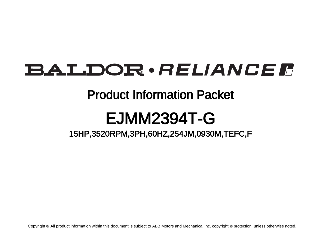## BALDOR · RELIANCE F

### Product Information Packet

## EJMM2394T-G

### 15HP,3520RPM,3PH,60HZ,254JM,0930M,TEFC,F

Copyright © All product information within this document is subject to ABB Motors and Mechanical Inc. copyright © protection, unless otherwise noted.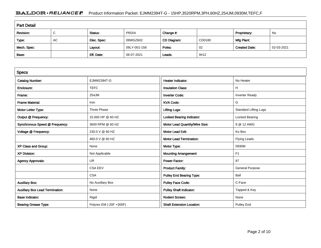#### BALDOR · RELIANCE F Product Information Packet: EJMM2394T-G - 15HP,3520RPM,3PH,60HZ,254JM,0930M,TEFC,F

| <b>Part Detail</b> |             |             |              |             |        |                      |            |
|--------------------|-------------|-------------|--------------|-------------|--------|----------------------|------------|
| Revision:          | $\sim$<br>◡ | Status:     | PRD/A        | Change #:   |        | Proprietary:         | No         |
| Type:              | <b>AC</b>   | Elec. Spec: | 09WGZ602     | CD Diagram: | CD0180 | Mfg Plant:           |            |
| Mech. Spec:        |             | Layout:     | 09LY-001-158 | Poles:      | 02     | <b>Created Date:</b> | 02-03-2021 |
| Base:              |             | Eff. Date:  | 06-07-2021   | Leads:      | 9#12   |                      |            |

| <b>Specs</b>                           |                         |                                  |                              |
|----------------------------------------|-------------------------|----------------------------------|------------------------------|
| <b>Catalog Number:</b>                 | <b>EJMM2394T-G</b>      | Heater Indicator:                | No Heater                    |
| Enclosure:                             | <b>TEFC</b>             | <b>Insulation Class:</b>         | н                            |
| Frame:                                 | 254JM                   | <b>Inverter Code:</b>            | <b>Inverter Ready</b>        |
| <b>Frame Material:</b>                 | Iron                    | <b>KVA Code:</b>                 | G                            |
| Motor Letter Type:                     | Three Phase             | <b>Lifting Lugs:</b>             | <b>Standard Lifting Lugs</b> |
| Output @ Frequency:                    | 15.000 HP @ 60 HZ       | <b>Locked Bearing Indicator:</b> | Locked Bearing               |
| Synchronous Speed @ Frequency:         | 3600 RPM @ 60 HZ        | Motor Lead Quantity/Wire Size:   | 9 @ 12 AWG                   |
| Voltage @ Frequency:                   | 230.0 V @ 60 HZ         | <b>Motor Lead Exit:</b>          | Ko Box                       |
|                                        | 460.0 V @ 60 HZ         | <b>Motor Lead Termination:</b>   | <b>Flying Leads</b>          |
| XP Class and Group:                    | None                    | Motor Type:                      | 0930M                        |
| <b>XP Division:</b>                    | Not Applicable          | <b>Mounting Arrangement:</b>     | F <sub>1</sub>               |
| <b>Agency Approvals:</b>               | <b>UR</b>               | <b>Power Factor:</b>             | 87                           |
|                                        | <b>CSA EEV</b>          | <b>Product Family:</b>           | <b>General Purpose</b>       |
|                                        | <b>CSA</b>              | <b>Pulley End Bearing Type:</b>  | Ball                         |
| <b>Auxillary Box:</b>                  | No Auxillary Box        | <b>Pulley Face Code:</b>         | C-Face                       |
| <b>Auxillary Box Lead Termination:</b> | None                    | <b>Pulley Shaft Indicator:</b>   | Tapped & Key                 |
| <b>Base Indicator:</b>                 | Rigid                   | <b>Rodent Screen:</b>            | None                         |
| <b>Bearing Grease Type:</b>            | Polyrex EM (-20F +300F) | <b>Shaft Extension Location:</b> | <b>Pulley End</b>            |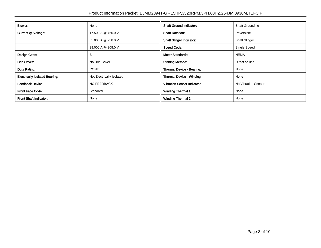| <b>Blower:</b>                        | None                      | <b>Shaft Ground Indicator:</b>     | <b>Shaft Grounding</b> |
|---------------------------------------|---------------------------|------------------------------------|------------------------|
| Current @ Voltage:                    | 17.500 A @ 460.0 V        | <b>Shaft Rotation:</b>             | Reversible             |
|                                       | 35.000 A @ 230.0 V        | <b>Shaft Slinger Indicator:</b>    | <b>Shaft Slinger</b>   |
|                                       | 38.000 A @ 208.0 V        | <b>Speed Code:</b>                 | Single Speed           |
| Design Code:                          | B                         | <b>Motor Standards:</b>            | <b>NEMA</b>            |
| Drip Cover:                           | No Drip Cover             | <b>Starting Method:</b>            | Direct on line         |
| Duty Rating:                          | <b>CONT</b>               | Thermal Device - Bearing:          | None                   |
| <b>Electrically Isolated Bearing:</b> | Not Electrically Isolated | <b>Thermal Device - Winding:</b>   | None                   |
| <b>Feedback Device:</b>               | <b>NO FEEDBACK</b>        | <b>Vibration Sensor Indicator:</b> | No Vibration Sensor    |
| <b>Front Face Code:</b>               | Standard                  | Winding Thermal 1:                 | None                   |
| Front Shaft Indicator:                | None                      | <b>Winding Thermal 2:</b>          | None                   |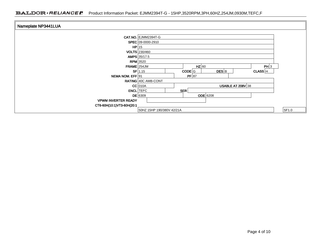| Nameplate NP3441LUA        |                            |            |                     |         |       |
|----------------------------|----------------------------|------------|---------------------|---------|-------|
|                            | <b>CAT.NO. EJMM2394T-G</b> |            |                     |         |       |
|                            | SPEC 09-0000-2910          |            |                     |         |       |
|                            | $HP$   15                  |            |                     |         |       |
|                            | <b>VOLTS</b> 230/460       |            |                     |         |       |
|                            | AMPS 35/17.5               |            |                     |         |       |
|                            | $RPM$ 3520                 |            |                     |         |       |
| $FRAME$ 254JM              |                            | $HZ$ 60    |                     | PH 3    |       |
|                            | $SF$ 1.15                  | $CODE$ G   | $DES$ <sub>B</sub>  | CLASS H |       |
| NEMA NOM. EFF 91           |                            | PF 87      |                     |         |       |
|                            | RATING 40C AMB-CONT        |            |                     |         |       |
|                            | $CC$ 010A                  |            | USABLE AT $208V$ 38 |         |       |
|                            | <b>ENCL</b> TEFC           | <b>SER</b> |                     |         |       |
|                            | $DE$ 6309                  | $ODE$ 6208 |                     |         |       |
| <b>VPWM INVERTER READY</b> |                            |            |                     |         |       |
| CT6-60H(10:1)VT3-60H(20:1  |                            |            |                     |         |       |
|                            | 50HZ 15HP 190/380V 42/21A  |            |                     |         | SF1.0 |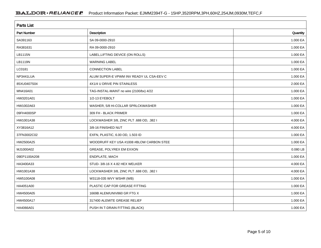| <b>Parts List</b>  |                                          |            |  |  |
|--------------------|------------------------------------------|------------|--|--|
| <b>Part Number</b> | Description                              | Quantity   |  |  |
| SA391163           | SA 09-0000-2910                          | 1.000 EA   |  |  |
| RA381631           | RA 09-0000-2910                          | 1.000 EA   |  |  |
| LB1115N            | LABEL, LIFTING DEVICE (ON ROLLS)         | 1.000 EA   |  |  |
| LB1119N            | <b>WARNING LABEL</b>                     | 1.000 EA   |  |  |
| LC0181             | CONNECTION LABEL                         | 1.000 EA   |  |  |
| NP3441LUA          | ALUM SUPER-E VPWM INV READY UL CSA-EEV C | 1.000 EA   |  |  |
| 85XU0407S04        | 4X1/4 U DRIVE PIN STAINLESS              | 2.000 EA   |  |  |
| MN416A01           | TAG-INSTAL-MAINT no wire (2100/bx) 4/22  | 1.000 EA   |  |  |
| HW3201A01          | 1/2-13 EYEBOLT                           | 1.000 EA   |  |  |
| HW1002A63          | WASHER, 5/8 HI-COLLAR SPRLCKWASHER       | 1.000 EA   |  |  |
| 09FH4000SP         | 309 FH - BLACK PRIMER                    | 1.000 EA   |  |  |
| HW1001A38          | LOCKWASHER 3/8, ZINC PLT .688 OD, .382 I | 4.000 EA   |  |  |
| XY3816A12          | 3/8-16 FINISHED NUT                      | 4.000 EA   |  |  |
| 37FN3002C02        | EXFN, PLASTIC, 6.00 OD, 1.503 ID         | 1.000 EA   |  |  |
| HW2500A25          | WOODRUFF KEY USA #1008 #BLOW CARBON STEE | 1.000 EA   |  |  |
| MJ1000A02          | GREASE, POLYREX EM EXXON                 | $0.080$ LB |  |  |
| 09EP1100A208       | ENDPLATE, MACH                           | 1.000 EA   |  |  |
| HA3400A33          | STUD- 3/8-16 X 4.82 HEX WELKER           | 4.000 EA   |  |  |
| HW1001A38          | LOCKWASHER 3/8, ZINC PLT .688 OD, .382 I | 4.000 EA   |  |  |
| HW5100A08          | W3118-035 WVY WSHR (WB)                  | 1.000 EA   |  |  |
| HA4051A00          | PLASTIC CAP FOR GREASE FITTING           | 1.000 EA   |  |  |
| HW4500A05          | 1669B ALEM/UNIV860 GR FTG X              | 1.000 EA   |  |  |
| HW4500A17          | 317400 ALEMITE GREASE RELIEF             | 1.000 EA   |  |  |
| HA4066A01          | PUSH IN T-DRAIN FITTING (BLACK)          | 1.000 EA   |  |  |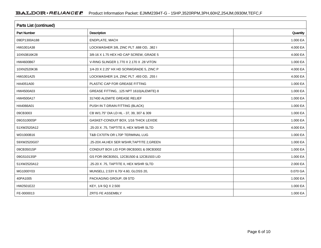| Parts List (continued) |                                            |          |  |  |
|------------------------|--------------------------------------------|----------|--|--|
| <b>Part Number</b>     | Description                                | Quantity |  |  |
| 09EP1300A188           | ENDPLATE, MACH                             | 1.000 EA |  |  |
| HW1001A38              | LOCKWASHER 3/8, ZINC PLT .688 OD, .382 I   | 4.000 EA |  |  |
| 10XN3816K28            | 3/8-16 X 1.75 HEX HD CAP SCREW, GRADE 5    | 4.000 EA |  |  |
| HW4600B67              | V-RING SLINGER 1.770 X 2.170 X .28 VITON   | 1.000 EA |  |  |
| 10XN2520K36            | 1/4-20 X 2.25" HX HD SCRWGRADE 5, ZINC P   | 4.000 EA |  |  |
| HW1001A25              | LOCKWASHER 1/4, ZINC PLT .493 OD, .255 I   | 4.000 EA |  |  |
| HA4051A00              | PLASTIC CAP FOR GREASE FITTING             | 1.000 EA |  |  |
| HW4500A03              | GREASE FITTING, .125 NPT 1610(ALEMITE) 8   | 1.000 EA |  |  |
| HW4500A17              | 317400 ALEMITE GREASE RELIEF               | 1.000 EA |  |  |
| HA4066A01              | PUSH IN T-DRAIN FITTING (BLACK)            | 1.000 EA |  |  |
| 09CB3003               | CB W/1.75" DIA LD HL - 37, 39, 307 & 309   | 1.000 EA |  |  |
| 09GS1000SP             | GASKET-CONDUIT BOX, 1/16 THICK LEXIDE      | 1.000 EA |  |  |
| 51XW2520A12            | .25-20 X .75, TAPTITE II, HEX WSHR SLTD    | 4.000 EA |  |  |
| WD1000B16              | T&B CX70TN OR L70P TERMINAL LUG            | 1.000 EA |  |  |
| 59XW2520G07            | .25-20X.44, HEX SER WSHR, TAPTITE 2, GREEN | 1.000 EA |  |  |
| 09CB3501SP             | CONDUIT BOX LID FOR 09CB3001 & 09CB3002    | 1.000 EA |  |  |
| 09GS1013SP             | GS FOR 09CB3501, 12CB1500 & 12CB1503 LID   | 1.000 EA |  |  |
| 51XW2520A12            | .25-20 X .75, TAPTITE II, HEX WSHR SLTD    | 2.000 EA |  |  |
| MG1000Y03              | MUNSELL 2.53Y 6.70/ 4.60, GLOSS 20,        | 0.070 GA |  |  |
| 40PA1005               | PACKAGING GROUP, 09 STD                    | 1.000 EA |  |  |
| HW2501E22              | KEY, 1/4 SQ X 2.500                        | 1.000 EA |  |  |
| FE-0000013             | ZRTG FE ASSEMBLY                           | 1.000 EA |  |  |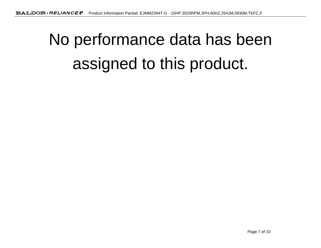# No performance data has beenassigned to this product.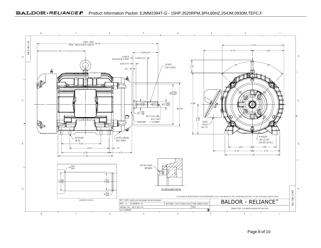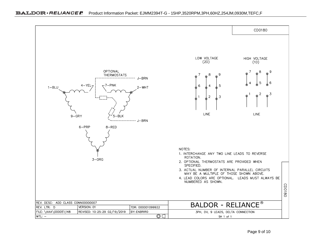